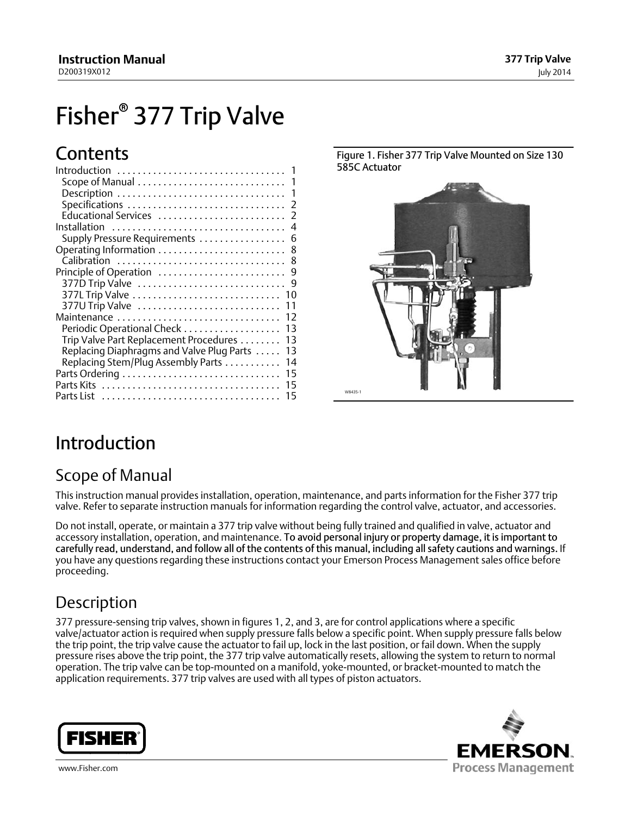# <span id="page-0-0"></span>Fisher<sup>®</sup> 377 Trip Valve

## **Contents**

| Introduction                              |     |
|-------------------------------------------|-----|
|                                           | - 1 |
|                                           |     |
|                                           |     |
|                                           |     |
| Installation                              |     |
| Supply Pressure Requirements              | 6   |
| Operating Information  8                  |     |
|                                           |     |
|                                           |     |
| 377D Trip Valve                           | 9   |
|                                           |     |
| 377U Trip Valve                           | 11  |
| Maintenance                               | 12  |
| Periodic Operational Check                | 13  |
| Trip Valve Part Replacement Procedures    | 13  |
| Replacing Diaphragms and Valve Plug Parts | 13  |
| Replacing Stem/Plug Assembly Parts        | 14  |
|                                           | 15  |
|                                           | 15  |
|                                           | 15  |
|                                           |     |

Figure 1. Fisher 377 Trip Valve Mounted on Size 130 585C Actuator



### Introduction

### Scope of Manual

This instruction manual provides installation, operation, maintenance, and parts information for the Fisher 377 trip valve. Refer to separate instruction manuals for information regarding the control valve, actuator, and accessories.

Do not install, operate, or maintain a 377 trip valve without being fully trained and qualified in valve, actuator and accessory installation, operation, and maintenance. To avoid personal injury or property damage, it is important to carefully read, understand, and follow all of the contents of this manual, including all safety cautions and warnings. If you have any questions regarding these instructions contact your Emerson Process Management sales office before proceeding.

### **Description**

377 pressure‐sensing trip valves, shown in figures 1, [2](#page-1-0), and [3,](#page-1-0) are for control applications where a specific valve/actuator action is required when supply pressure falls below a specific point. When supply pressure falls below the trip point, the trip valve cause the actuator to fail up, lock in the last position, or fail down. When the supply pressure rises above the trip point, the 377 trip valve automatically resets, allowing the system to return to normal operation. The trip valve can be top‐mounted on a manifold, yoke‐mounted, or bracket‐mounted to match the application requirements. 377 trip valves are used with all types of piston actuators.



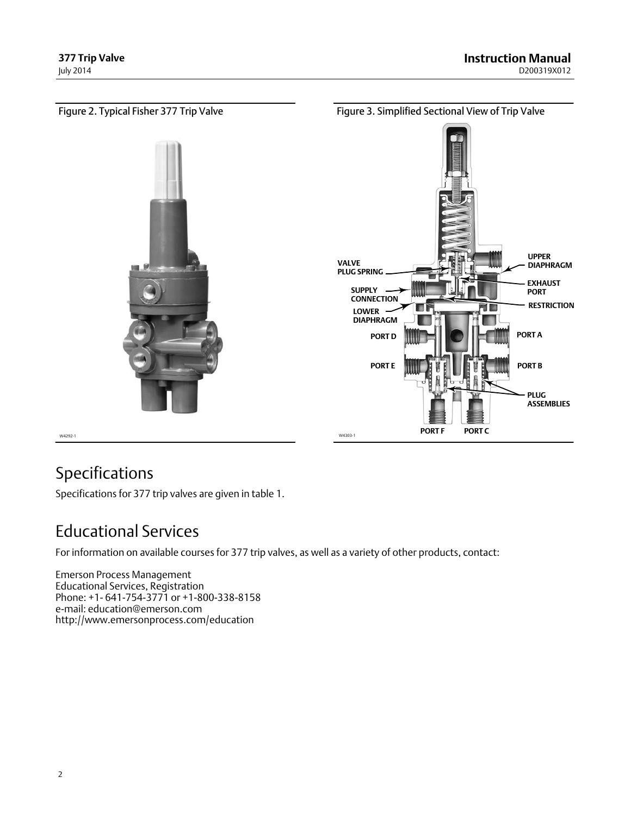<span id="page-1-0"></span>

### Specifications

Specifications for 377 trip valves are given in table [1.](#page-2-0)

### Educational Services

For information on available courses for 377 trip valves, as well as a variety of other products, contact:

Emerson Process Management Educational Services, Registration Phone: +1- 641-754-3771 or +1-800-338-8158 e‐mail: education@emerson.com http://www.emersonprocess.com/education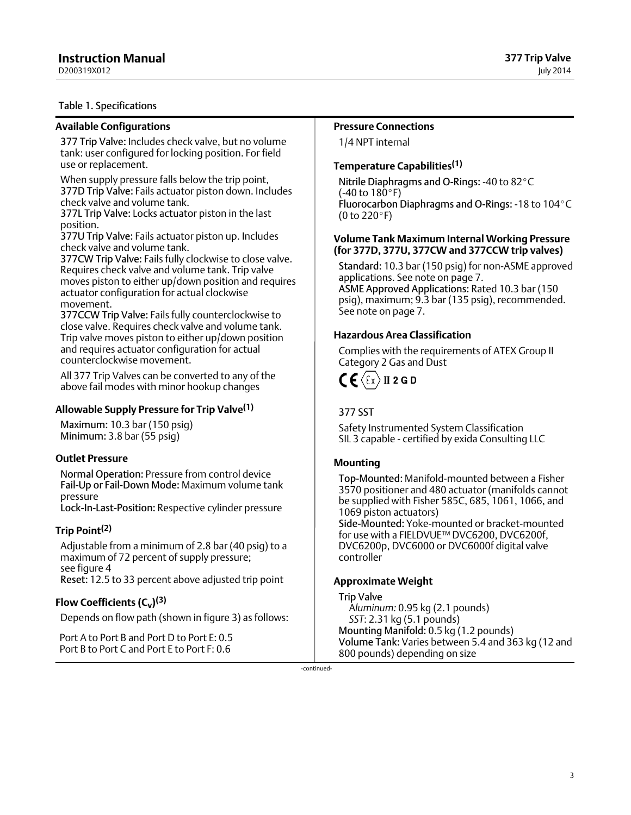<span id="page-2-0"></span>D200319X012

#### Table 1. Specifications

### **Available Configurations**

377 Trip Valve: Includes check valve, but no volume tank: user configured for locking position. For field use or replacement.

When supply pressure falls below the trip point, 377D Trip Valve: Fails actuator piston down. Includes check valve and volume tank.

377L Trip Valve: Locks actuator piston in the last position.

377U Trip Valve: Fails actuator piston up. Includes check valve and volume tank.

377CW Trip Valve: Fails fully clockwise to close valve. Requires check valve and volume tank. Trip valve moves piston to either up/down position and requires actuator configuration for actual clockwise movement.

377CCW Trip Valve: Fails fully counterclockwise to close valve. Requires check valve and volume tank. Trip valve moves piston to either up/down position and requires actuator configuration for actual counterclockwise movement.

All 377 Trip Valves can be converted to any of the above fail modes with minor hookup changes

#### **Allowable Supply Pressure for Trip Valve([1](#page-3-0))**

Maximum: 10.3 bar (150 psig) Minimum: 3.8 bar (55 psig)

#### **Outlet Pressure**

Normal Operation: Pressure from control device Fail‐Up or Fail‐Down Mode: Maximum volume tank pressure

Lock‐In‐Last‐Position: Respective cylinder pressure

#### **Trip Point[\(2\)](#page-3-0)**

Adjustable from a minimum of 2.8 bar (40 psig) to a maximum of 72 percent of supply pressure; see figure [4](#page-3-0) Reset: 12.5 to 33 percent above adjusted trip point

### **Flow Coefficients (C<sub>v</sub>)<sup>[\(3\)](#page-3-0)</sup>**

Depends on flow path (shown in figure [3](#page-1-0)) as follows:

Port A to Port B and Port D to Port E: 0.5 Port B to Port C and Port E to Port F: 0.6

#### **Pressure Connections**

1/4 NPT internal

### **Temperature Capabilities[\(1](#page-3-0))**

Nitrile Diaphragms and O-Rings: -40 to 82°C  $(-40 \text{ to } 180^{\circ} \text{F})$ Fluorocarbon Diaphragms and O‐Rings: -18 to 104-C  $(0 to 220°F)$ 

#### **Volume Tank Maximum Internal Working Pressure (for 377D, 377U, 377CW and 377CCW trip valves)**

Standard: 10.3 bar (150 psig) for non‐ASME approved applications. See note on page [7.](#page-6-0) ASME Approved Applications: Rated 10.3 bar (150 psig), maximum; 9.3 bar (135 psig), recommended. See note on page [7](#page-6-0).

### **Hazardous Area Classification**

Complies with the requirements of ATEX Group II Category 2 Gas and Dust



### 377 SST

Safety Instrumented System Classification SIL 3 capable - certified by exida Consulting LLC

#### **Mounting**

Top‐Mounted: Manifold‐mounted between a Fisher 3570 positioner and 480 actuator (manifolds cannot be supplied with Fisher 585C, 685, 1061, 1066, and 1069 piston actuators) Side‐Mounted: Yoke‐mounted or bracket‐mounted for use with a FIELDVUE™ DVC6200, DVC6200f, DVC6200p, DVC6000 or DVC6000f digital valve

controller

#### **Approximate Weight**

Trip Valve A*luminum:* 0.95 kg (2.1 pounds) *SST*: 2.31 kg (5.1 pounds) Mounting Manifold: 0.5 kg (1.2 pounds) Volume Tank: Varies between 5.4 and 363 kg (12 and 800 pounds) depending on size

-continued-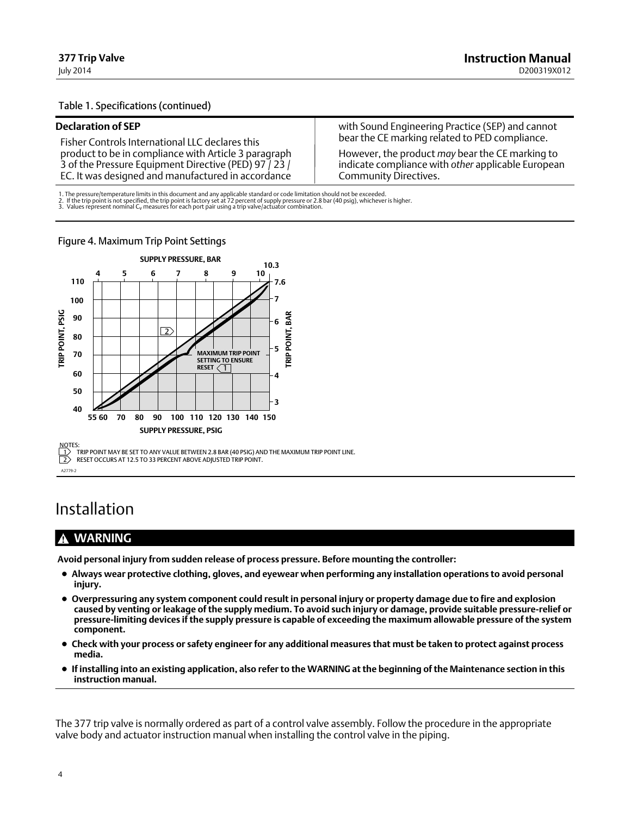#### <span id="page-3-0"></span>Table [1.](#page-2-0) Specifications (continued)

#### **Declaration of SEP**

Fisher Controls International LLC declares this product to be in compliance with Article 3 paragraph 3 of the Pressure Equipment Directive (PED) 97 / 23 / EC. It was designed and manufactured in accordance with Sound Engineering Practice (SEP) and cannot bear the CE marking related to PED compliance.

However, the product *may* bear the CE marking to indicate compliance with *other* applicable European Community Directives.

1. The pressure/temperature limits in this document and any applicable standard or code limitation should not be exceeded.<br>2. If the trip point is not specified, the trip point is factory set at 72 percent of supply pressu

Figure 4. Maximum Trip Point Settings



Installation

### **WARNING**

**Avoid personal injury from sudden release of process pressure. Before mounting the controller:**

- **Always wear protective clothing, gloves, and eyewear when performing any installation operations to avoid personal injury.**
- **Overpressuring any system component could result in personal injury or property damage due to fire and explosion caused by venting or leakage of the supply medium. To avoid such injury or damage, provide suitable pressure‐relief or pressure‐limiting devices if the supply pressure is capable of exceeding the maximum allowable pressure of the system component.**
- **Check with your process or safety engineer for any additional measures that must be taken to protect against process media.**
- **If installing into an existing application, also refer to the WARNING at the beginning of the Maintenance section in this instruction manual.**

The 377 trip valve is normally ordered as part of a control valve assembly. Follow the procedure in the appropriate valve body and actuator instruction manual when installing the control valve in the piping.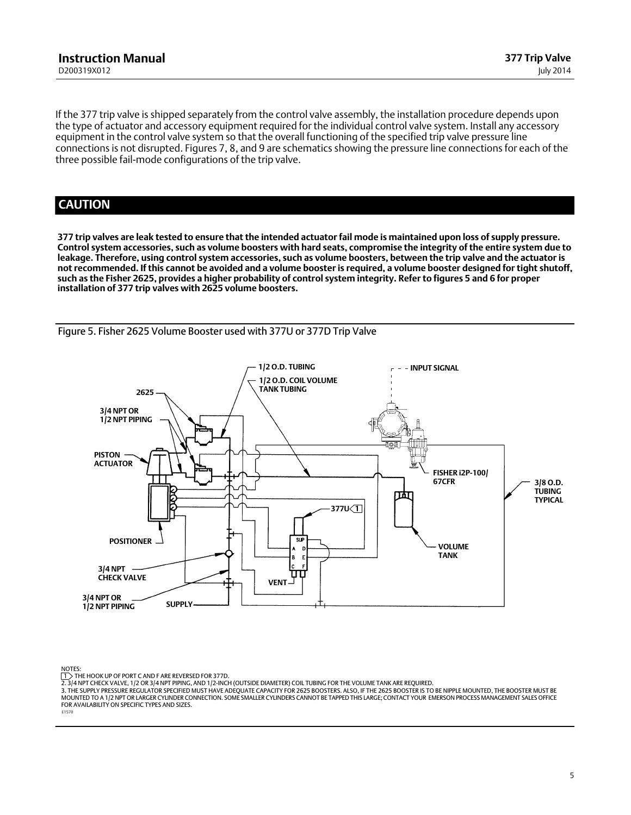If the 377 trip valve is shipped separately from the control valve assembly, the installation procedure depends upon the type of actuator and accessory equipment required for the individual control valve system. Install any accessory equipment in the control valve system so that the overall functioning of the specified trip valve pressure line connections is not disrupted. Figures [7](#page-9-0), [8,](#page-10-0) and [9](#page-11-0) are schematics showing the pressure line connections for each of the three possible fail‐mode configurations of the trip valve.

### **CAUTION**

**377 trip valves are leak tested to ensure that the intended actuator fail mode is maintained upon loss of supply pressure. Control system accessories, such as volume boosters with hard seats, compromise the integrity of the entire system due to leakage. Therefore, using control system accessories, such as volume boosters, between the trip valve and the actuator is not recommended. If this cannot be avoided and a volume booster is required, a volume booster designed for tight shutoff, such as the Fisher 2625, provides a higher probability of control system integrity. Refer to figures 5 and [6](#page-5-0) for proper installation of 377 trip valves with 2625 volume boosters.**



Figure 5. Fisher 2625 Volume Booster used with 377U or 377D Trip Valve

NOTES:

 $\ket{1}$  THE HOOK UP OF PORT C AND F ARE REVERSED FOR 377D.

2. 3/4 NPT CHECK VALVE, 1/2 OR 3/4 NPT PIPING, AND 1/2‐INCH (OUTSIDE DIAMETER) COIL TUBING FOR THE VOLUME TANK ARE REQUIRED.

3. THE SUPPLY PRESSURE REGULATOR SPECIFIED MUST HAVE ADEQUATE CAPACITY FOR 2625 BOOSTERS. ALSO, IF THE 2625 BOOSTER IS TO BE NIPPLE MOUNTED, THE BOOSTER MUST BE MOUNTED TO A 1/2 NPT OR LARGER CYLINDER CONNECTION. SOME SMALLER CYLINDERS CANNOT BE TAPPED THIS LARGE; CONTACT YOUR EMERSON PROCESS MANAGEMENT SALES OFFICE FOR AVAILABILITY ON SPECIFIC TYPES AND SIZES.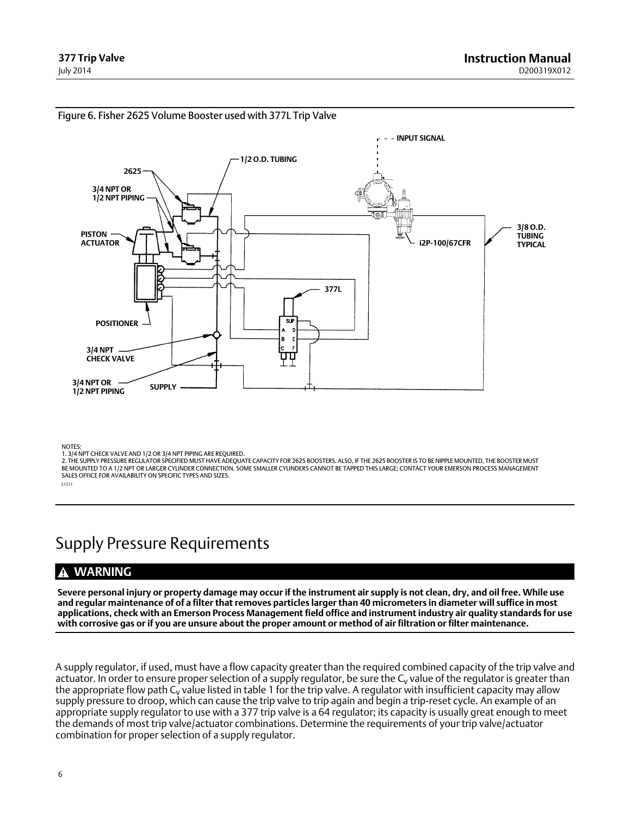

<span id="page-5-0"></span>Figure 6. Fisher 2625 Volume Booster used with 377L Trip Valve

NOTES:

2. THE SUPPLY PRESSURE REGULATOR SPECIFIED MUST HAVE ADEQUATE CAPACITY FOR 2625 BOOSTERS. ALSO, IF THE 2625 BOOSTER IS TO BE NIPPLE MOUNTED, THE BOOSTER MUST BE MOUNTED TO A 1/2 NPT OR LARGER CYLINDER CONNECTION. SOME SMALLER CYLINDERS CANNOT BE TAPPED THIS LARGE; CONTACT YOUR EMERSON PROCESS MANAGEMENT SALES OFFICE FOR AVAILABILITY ON SPECIFIC TYPES AND SIZES.

E1571

### Supply Pressure Requirements

### **WARNING**

**Severe personal injury or property damage may occur if the instrument air supply is not clean, dry, and oil free. While use and regular maintenance of of a filter that removes particles larger than 40 micrometers in diameter will suffice in most applications, check with an Emerson Process Management field office and instrument industry air quality standards for use with corrosive gas or if you are unsure about the proper amount or method of air filtration or filter maintenance.**

A supply regulator, if used, must have a flow capacity greater than the required combined capacity of the trip valve and actuator. In order to ensure proper selection of a supply regulator, be sure the  $C_v$  value of the regulator is greater than the appropriate flow path  $C_v$  value listed in table [1](#page-2-0) for the trip valve. A regulator with insufficient capacity may allow supply pressure to droop, which can cause the trip valve to trip again and begin a trip-reset cycle. An example of an appropriate supply regulator to use with a 377 trip valve is a 64 regulator; its capacity is usually great enough to meet the demands of most trip valve/actuator combinations. Determine the requirements of your trip valve/actuator combination for proper selection of a supply regulator.

<sup>1. 3/4</sup> NPT CHECK VALVE AND 1/2 OR 3/4 NPT PIPING ARE REQUIRED.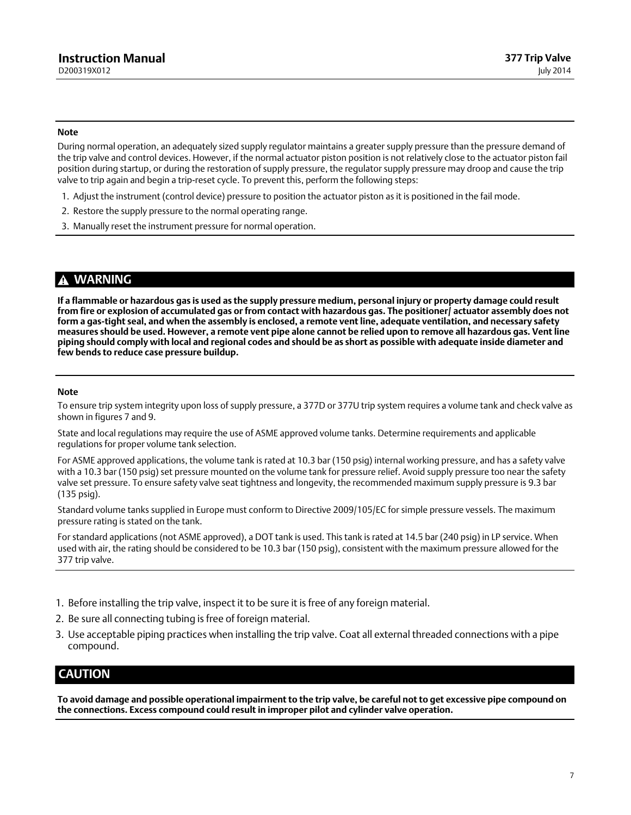#### <span id="page-6-0"></span>**Note**

During normal operation, an adequately sized supply regulator maintains a greater supply pressure than the pressure demand of the trip valve and control devices. However, if the normal actuator piston position is not relatively close to the actuator piston fail position during startup, or during the restoration of supply pressure, the regulator supply pressure may droop and cause the trip valve to trip again and begin a trip‐reset cycle. To prevent this, perform the following steps:

- 1. Adjust the instrument (control device) pressure to position the actuator piston as it is positioned in the fail mode.
- 2. Restore the supply pressure to the normal operating range.
- 3. Manually reset the instrument pressure for normal operation.

### **WARNING**

**If a flammable or hazardous gas is used as the supply pressure medium, personal injury or property damage could result from fire or explosion of accumulated gas or from contact with hazardous gas. The positioner/ actuator assembly does not** form a gas-tight seal, and when the assembly is enclosed, a remote vent line, adequate ventilation, and necessary safety **measures should be used. However, a remote vent pipe alone cannot be relied upon to remove all hazardous gas. Vent line piping should comply with local and regional codes and should be as short as possible with adequate inside diameter and few bends to reduce case pressure buildup.**

#### **Note**

To ensure trip system integrity upon loss of supply pressure, a 377D or 377U trip system requires a volume tank and check valve as shown in figures [7](#page-9-0) and [9.](#page-11-0)

State and local regulations may require the use of ASME approved volume tanks. Determine requirements and applicable regulations for proper volume tank selection.

For ASME approved applications, the volume tank is rated at 10.3 bar (150 psig) internal working pressure, and has a safety valve with a 10.3 bar (150 psig) set pressure mounted on the volume tank for pressure relief. Avoid supply pressure too near the safety valve set pressure. To ensure safety valve seat tightness and longevity, the recommended maximum supply pressure is 9.3 bar (135 psig).

Standard volume tanks supplied in Europe must conform to Directive 2009/105/EC for simple pressure vessels. The maximum pressure rating is stated on the tank.

For standard applications (not ASME approved), a DOT tank is used. This tank is rated at 14.5 bar (240 psig) in LP service. When used with air, the rating should be considered to be 10.3 bar (150 psig), consistent with the maximum pressure allowed for the 377 trip valve.

- 1. Before installing the trip valve, inspect it to be sure it is free of any foreign material.
- 2. Be sure all connecting tubing is free of foreign material.
- 3. Use acceptable piping practices when installing the trip valve. Coat all external threaded connections with a pipe compound.

### **CAUTION**

**To avoid damage and possible operational impairment to the trip valve, be careful not to get excessive pipe compound on the connections. Excess compound could result in improper pilot and cylinder valve operation.**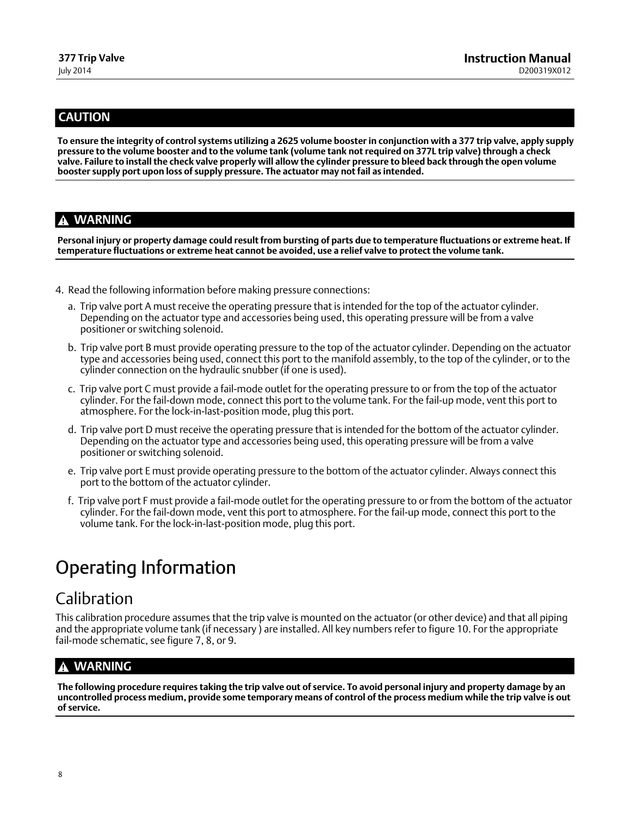### <span id="page-7-0"></span>**CAUTION**

**To ensure the integrity of control systems utilizing a 2625 volume booster in conjunction with a 377 trip valve, apply supply pressure to the volume booster and to the volume tank (volume tank not required on 377L trip valve) through a check valve. Failure to install the check valve properly will allow the cylinder pressure to bleed back through the open volume booster supply port upon loss of supply pressure. The actuator may not fail as intended.**

### **WARNING**

**Personal injury or property damage could result from bursting of parts due to temperature fluctuations or extreme heat. If temperature fluctuations or extreme heat cannot be avoided, use a relief valve to protect the volume tank.**

- 4. Read the following information before making pressure connections:
	- a. Trip valve port A must receive the operating pressure that is intended for the top of the actuator cylinder. Depending on the actuator type and accessories being used, this operating pressure will be from a valve positioner or switching solenoid.
	- b. Trip valve port B must provide operating pressure to the top of the actuator cylinder. Depending on the actuator type and accessories being used, connect this port to the manifold assembly, to the top of the cylinder, or to the cylinder connection on the hydraulic snubber (if one is used).
	- c. Trip valve port C must provide a fail‐mode outlet for the operating pressure to or from the top of the actuator cylinder. For the fail‐down mode, connect this port to the volume tank. For the fail‐up mode, vent this port to atmosphere. For the lock‐in‐last‐position mode, plug this port.
	- d. Trip valve port D must receive the operating pressure that is intended for the bottom of the actuator cylinder. Depending on the actuator type and accessories being used, this operating pressure will be from a valve positioner or switching solenoid.
	- e. Trip valve port E must provide operating pressure to the bottom of the actuator cylinder. Always connect this port to the bottom of the actuator cylinder.
	- f. Trip valve port F must provide a fail‐mode outlet for the operating pressure to or from the bottom of the actuator cylinder. For the fail‐down mode, vent this port to atmosphere. For the fail‐up mode, connect this port to the volume tank. For the lock‐in‐last‐position mode, plug this port.

### Operating Information

### Calibration

This calibration procedure assumes that the trip valve is mounted on the actuator (or other device) and that all piping and the appropriate volume tank (if necessary ) are installed. All key numbers refer to figure [10.](#page-18-0) For the appropriate fail-mode schematic, see figure [7](#page-9-0), [8](#page-10-0), or [9.](#page-11-0)

### **WARNING**

**The following procedure requires taking the trip valve out of service. To avoid personal injury and property damage by an uncontrolled process medium, provide some temporary means of control of the process medium while the trip valve is out of service.**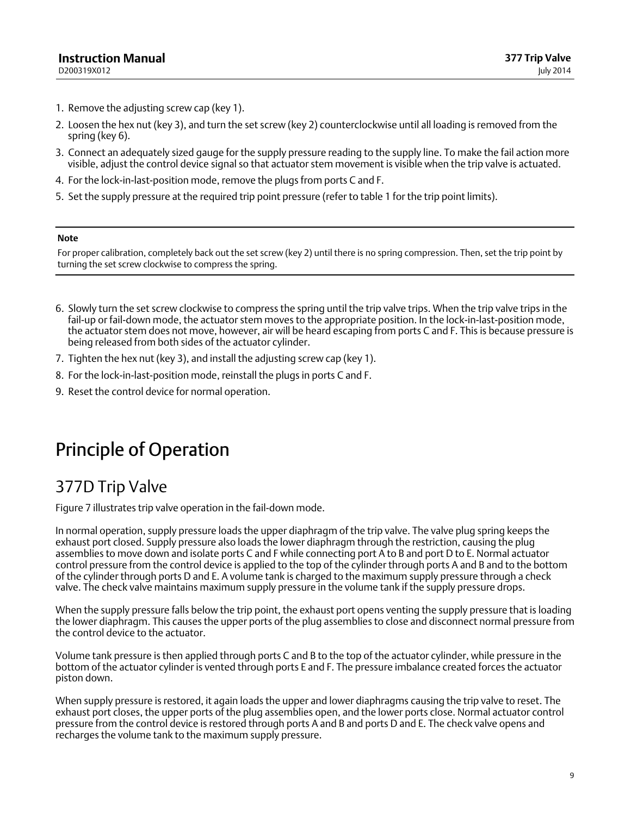- <span id="page-8-0"></span>1. Remove the adjusting screw cap (key 1).
- 2. Loosen the hex nut (key 3), and turn the set screw (key 2) counterclockwise until all loading is removed from the spring (key 6).
- 3. Connect an adequately sized gauge for the supply pressure reading to the supply line. To make the fail action more visible, adjust the control device signal so that actuator stem movement is visible when the trip valve is actuated.
- 4. For the lock‐in‐last‐position mode, remove the plugs from ports C and F.
- 5. Set the supply pressure at the required trip point pressure (refer to table 1 for the trip point limits).

#### **Note**

For proper calibration, completely back out the set screw (key 2) until there is no spring compression. Then, set the trip point by turning the set screw clockwise to compress the spring.

- 6. Slowly turn the set screw clockwise to compress the spring until the trip valve trips. When the trip valve trips in the fail-up or fail-down mode, the actuator stem moves to the appropriate position. In the lock-in-last-position mode, the actuator stem does not move, however, air will be heard escaping from ports C and F. This is because pressure is being released from both sides of the actuator cylinder.
- 7. Tighten the hex nut (key 3), and install the adjusting screw cap (key 1).
- 8. For the lock‐in‐last‐position mode, reinstall the plugs in ports C and F.
- 9. Reset the control device for normal operation.

### Principle of Operation

### 377D Trip Valve

Figure [7](#page-9-0) illustrates trip valve operation in the fail‐down mode.

In normal operation, supply pressure loads the upper diaphragm of the trip valve. The valve plug spring keeps the exhaust port closed. Supply pressure also loads the lower diaphragm through the restriction, causing the plug assemblies to move down and isolate ports C and F while connecting port A to B and port D to E. Normal actuator control pressure from the control device is applied to the top of the cylinder through ports A and B and to the bottom of the cylinder through ports D and E. A volume tank is charged to the maximum supply pressure through a check valve. The check valve maintains maximum supply pressure in the volume tank if the supply pressure drops.

When the supply pressure falls below the trip point, the exhaust port opens venting the supply pressure that is loading the lower diaphragm. This causes the upper ports of the plug assemblies to close and disconnect normal pressure from the control device to the actuator.

Volume tank pressure is then applied through ports C and B to the top of the actuator cylinder, while pressure in the bottom of the actuator cylinder is vented through ports E and F. The pressure imbalance created forces the actuator piston down.

When supply pressure is restored, it again loads the upper and lower diaphragms causing the trip valve to reset. The exhaust port closes, the upper ports of the plug assemblies open, and the lower ports close. Normal actuator control pressure from the control device is restored through ports A and B and ports D and E. The check valve opens and recharges the volume tank to the maximum supply pressure.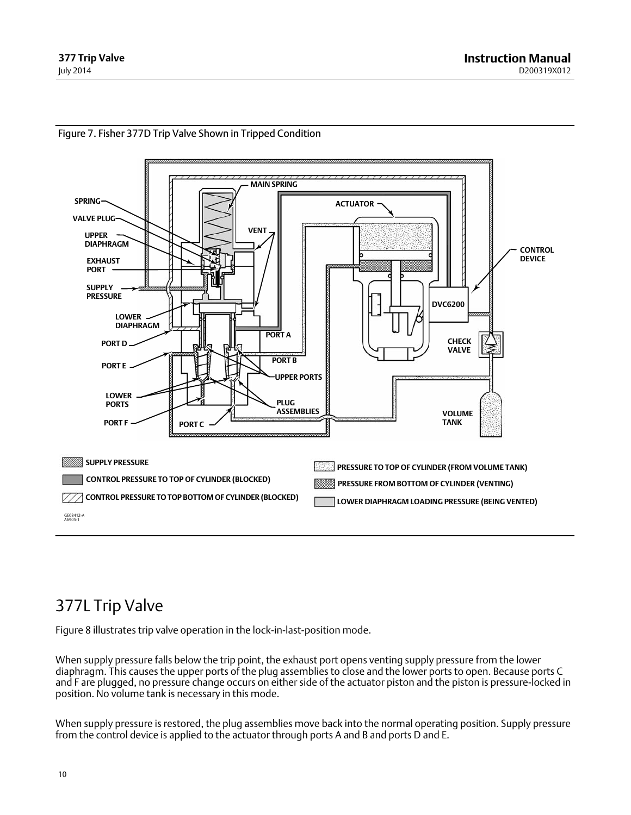

### <span id="page-9-0"></span>Figure 7. Fisher 377D Trip Valve Shown in Tripped Condition

### 377L Trip Valve

Figure [8](#page-10-0) illustrates trip valve operation in the lock‐in‐last‐position mode.

When supply pressure falls below the trip point, the exhaust port opens venting supply pressure from the lower diaphragm. This causes the upper ports of the plug assemblies to close and the lower ports to open. Because ports C and F are plugged, no pressure change occurs on either side of the actuator piston and the piston is pressure‐locked in position. No volume tank is necessary in this mode.

When supply pressure is restored, the plug assemblies move back into the normal operating position. Supply pressure from the control device is applied to the actuator through ports A and B and ports D and E.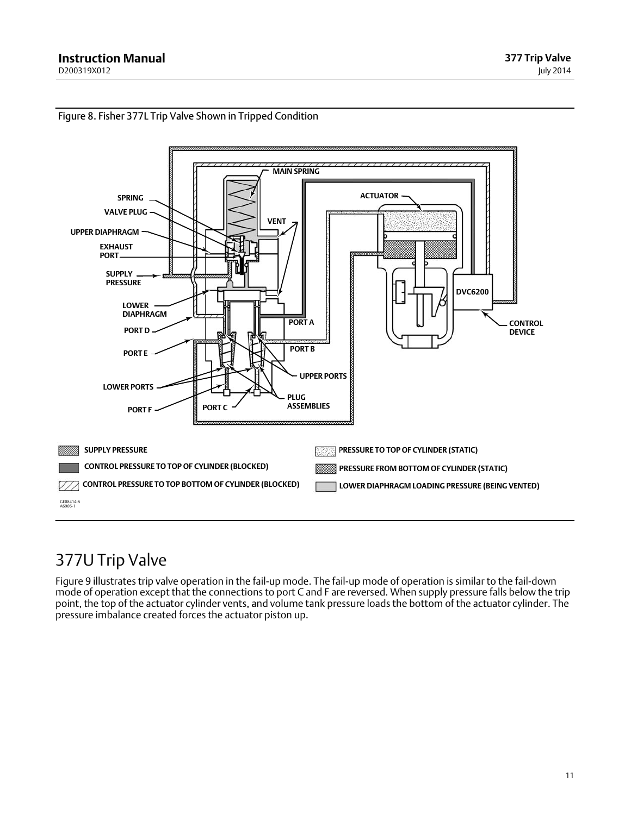

### <span id="page-10-0"></span>Figure 8. Fisher 377L Trip Valve Shown in Tripped Condition

### 377U Trip Valve

Figure [9](#page-11-0) illustrates trip valve operation in the fail‐up mode. The fail‐up mode of operation is similar to the fail‐down mode of operation except that the connections to port C and F are reversed. When supply pressure falls below the trip point, the top of the actuator cylinder vents, and volume tank pressure loads the bottom of the actuator cylinder. The pressure imbalance created forces the actuator piston up.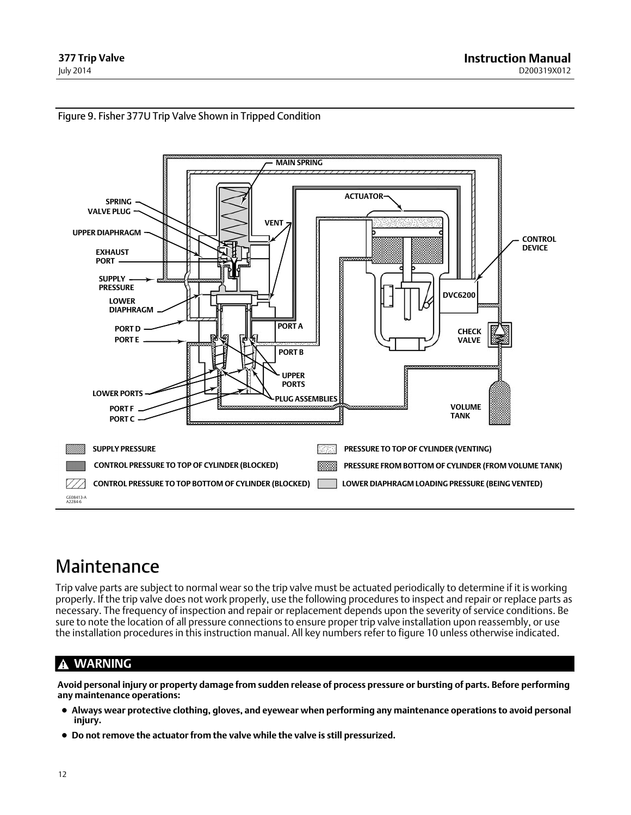<span id="page-11-0"></span>



### Maintenance

Trip valve parts are subject to normal wear so the trip valve must be actuated periodically to determine if it is working properly. If the trip valve does not work properly, use the following procedures to inspect and repair or replace parts as necessary. The frequency of inspection and repair or replacement depends upon the severity of service conditions. Be sure to note the location of all pressure connections to ensure proper trip valve installation upon reassembly, or use the installation procedures in this instruction manual. All key numbers refer to figure [10](#page-18-0) unless otherwise indicated.

### **WARNING**

**Avoid personal injury or property damage from sudden release of process pressure or bursting of parts. Before performing any maintenance operations:**

- **Always wear protective clothing, gloves, and eyewear when performing any maintenance operations to avoid personal injury.**
- **Do not remove the actuator from the valve while the valve is still pressurized.**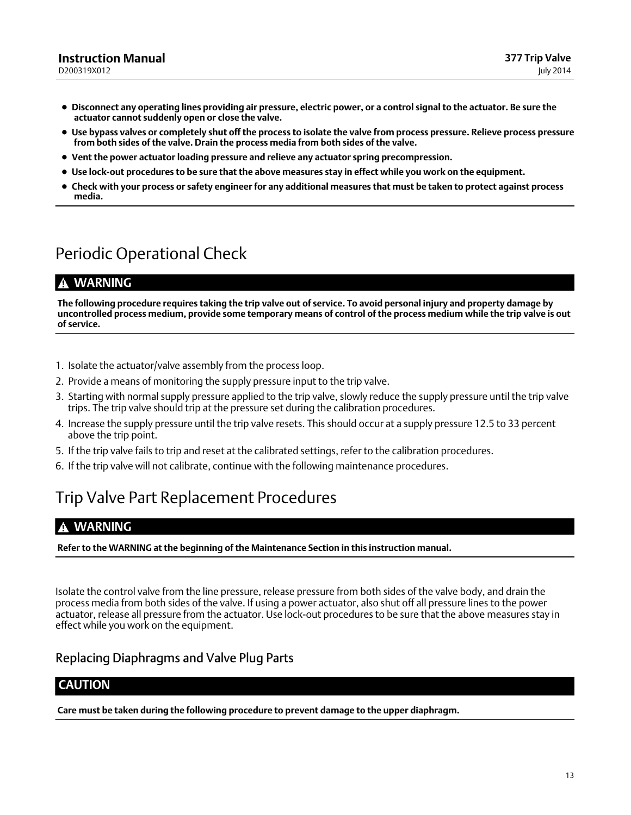- <span id="page-12-0"></span> **Disconnect any operating lines providing air pressure, electric power, or a control signal to the actuator. Be sure the actuator cannot suddenly open or close the valve.**
- **Use bypass valves or completely shut off the process to isolate the valve from process pressure. Relieve process pressure from both sides of the valve. Drain the process media from both sides of the valve.**
- **Vent the power actuator loading pressure and relieve any actuator spring precompression.**
- **Use lock‐out procedures to be sure that the above measures stay in effect while you work on the equipment.**
- **Check with your process or safety engineer for any additional measures that must be taken to protect against process media.**

### Periodic Operational Check

### **WARNING**

**The following procedure requires taking the trip valve out of service. To avoid personal injury and property damage by uncontrolled process medium, provide some temporary means of control of the process medium while the trip valve is out of service.**

- 1. Isolate the actuator/valve assembly from the process loop.
- 2. Provide a means of monitoring the supply pressure input to the trip valve.
- 3. Starting with normal supply pressure applied to the trip valve, slowly reduce the supply pressure until the trip valve trips. The trip valve should trip at the pressure set during the calibration procedures.
- 4. Increase the supply pressure until the trip valve resets. This should occur at a supply pressure 12.5 to 33 percent above the trip point.
- 5. If the trip valve fails to trip and reset at the calibrated settings, refer to the calibration procedures.
- 6. If the trip valve will not calibrate, continue with the following maintenance procedures.

### Trip Valve Part Replacement Procedures

### **WARNING**

**Refer to the WARNING at the beginning of the Maintenance Section in this instruction manual.**

Isolate the control valve from the line pressure, release pressure from both sides of the valve body, and drain the process media from both sides of the valve. If using a power actuator, also shut off all pressure lines to the power actuator, release all pressure from the actuator. Use lock‐out procedures to be sure that the above measures stay in effect while you work on the equipment.

### Replacing Diaphragms and Valve Plug Parts

### **CAUTION**

**Care must be taken during the following procedure to prevent damage to the upper diaphragm.**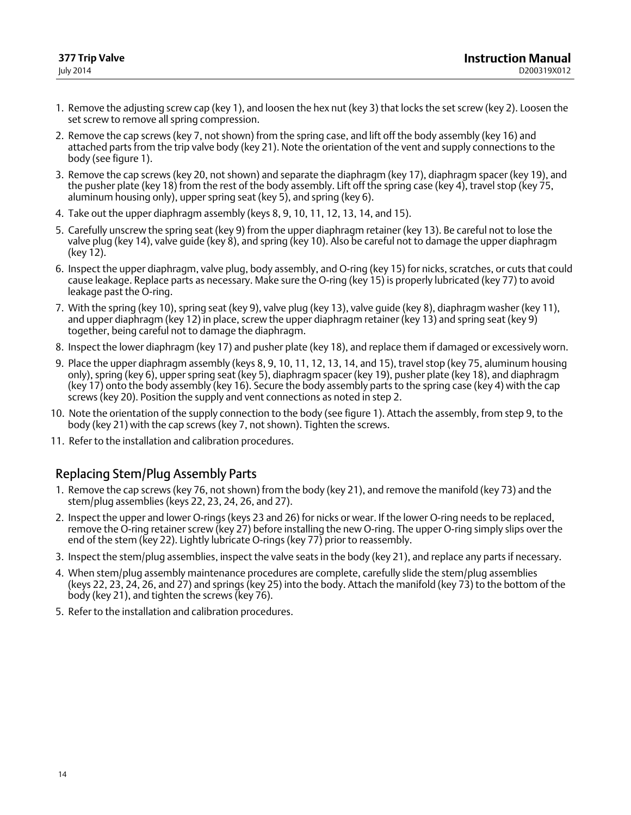- <span id="page-13-0"></span>1. Remove the adjusting screw cap (key 1), and loosen the hex nut (key 3) that locks the set screw (key 2). Loosen the set screw to remove all spring compression.
- 2. Remove the cap screws (key 7, not shown) from the spring case, and lift off the body assembly (key 16) and attached parts from the trip valve body (key 21). Note the orientation of the vent and supply connections to the body (see figure [1](#page-0-0)).
- 3. Remove the cap screws (key 20, not shown) and separate the diaphragm (key 17), diaphragm spacer (key 19), and the pusher plate (key 18) from the rest of the body assembly. Lift off the spring case (key 4), travel stop (key 75, aluminum housing only), upper spring seat (key 5), and spring (key 6).
- 4. Take out the upper diaphragm assembly (keys 8, 9, 10, 11, 12, 13, 14, and 15).
- 5. Carefully unscrew the spring seat (key 9) from the upper diaphragm retainer (key 13). Be careful not to lose the valve plug (key 14), valve guide (key 8), and spring (key 10). Also be careful not to damage the upper diaphragm (key 12).
- 6. Inspect the upper diaphragm, valve plug, body assembly, and O‐ring (key 15) for nicks, scratches, or cuts that could cause leakage. Replace parts as necessary. Make sure the O‐ring (key 15) is properly lubricated (key 77) to avoid leakage past the O‐ring.
- 7. With the spring (key 10), spring seat (key 9), valve plug (key 13), valve guide (key 8), diaphragm washer (key 11), and upper diaphragm (key 12) in place, screw the upper diaphragm retainer (key 13) and spring seat (key 9) together, being careful not to damage the diaphragm.
- 8. Inspect the lower diaphragm (key 17) and pusher plate (key 18), and replace them if damaged or excessively worn.
- 9. Place the upper diaphragm assembly (keys 8, 9, 10, 11, 12, 13, 14, and 15), travel stop (key 75, aluminum housing only), spring (key 6), upper spring seat (key 5), diaphragm spacer (key 19), pusher plate (key 18), and diaphragm (key 17) onto the body assembly (key 16). Secure the body assembly parts to the spring case (key 4) with the cap screws (key 20). Position the supply and vent connections as noted in step 2.
- 10. Note the orientation of the supply connection to the body (see figure [1](#page-0-0)). Attach the assembly, from step 9, to the body (key 21) with the cap screws (key 7, not shown). Tighten the screws.
- 11. Refer to the installation and calibration procedures.

### Replacing Stem/Plug Assembly Parts

- 1. Remove the cap screws (key 76, not shown) from the body (key 21), and remove the manifold (key 73) and the stem/plug assemblies (keys 22, 23, 24, 26, and 27).
- 2. Inspect the upper and lower O‐rings (keys 23 and 26) for nicks or wear. If the lower O‐ring needs to be replaced, remove the O‐ring retainer screw (key 27) before installing the new O‐ring. The upper O‐ring simply slips over the end of the stem (key 22). Lightly lubricate O-rings (key 77) prior to reassembly.
- 3. Inspect the stem/plug assemblies, inspect the valve seats in the body (key 21), and replace any parts if necessary.
- 4. When stem/plug assembly maintenance procedures are complete, carefully slide the stem/plug assemblies (keys 22, 23, 24, 26, and 27) and springs (key 25) into the body. Attach the manifold (key 73) to the bottom of the body (key 21), and tighten the screws (key 76).
- 5. Refer to the installation and calibration procedures.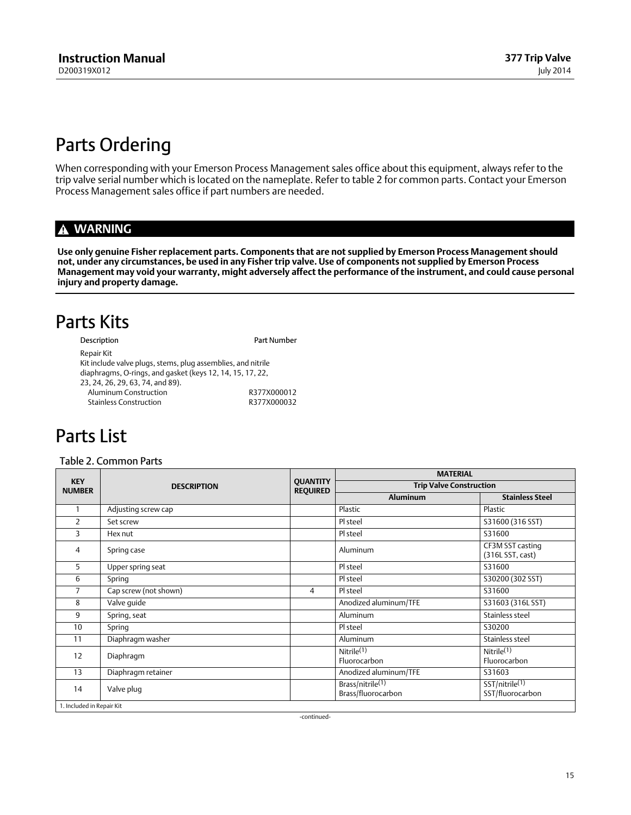### <span id="page-14-0"></span>Parts Ordering

When corresponding with your Emerson Process Management sales office about this equipment, always refer to the trip valve serial number which is located on the nameplate. Refer to table 2 for common parts. Contact your Emerson Process Management sales office if part numbers are needed.

### **WARNING**

**Use only genuine Fisher replacement parts. Components that are not supplied by Emerson Process Management should not, under any circumstances, be used in any Fisher trip valve. Use of components not supplied by Emerson Process Management may void your warranty, might adversely affect the performance of the instrument, and could cause personal injury and property damage.**

### Parts Kits

| Description                                                  | Part Number |
|--------------------------------------------------------------|-------------|
| Repair Kit                                                   |             |
| Kit include valve plugs, stems, plug assemblies, and nitrile |             |
| diaphragms, O-rings, and gasket (keys 12, 14, 15, 17, 22,    |             |
| 23, 24, 26, 29, 63, 74, and 89).                             |             |
| Aluminum Construction                                        | R377X000012 |
| <b>Stainless Construction</b>                                | R377X000032 |

### Parts List

### Table 2. Common Parts

| <b>KEY</b><br><b>NUMBER</b> | <b>DESCRIPTION</b>    | <b>QUANTITY</b><br><b>REQUIRED</b> | <b>MATERIAL</b>                                    |                                        |  |
|-----------------------------|-----------------------|------------------------------------|----------------------------------------------------|----------------------------------------|--|
|                             |                       |                                    | <b>Trip Valve Construction</b>                     |                                        |  |
|                             |                       |                                    | <b>Aluminum</b>                                    | <b>Stainless Steel</b>                 |  |
|                             | Adjusting screw cap   |                                    | Plastic                                            | Plastic                                |  |
| 2                           | Set screw             |                                    | Pl steel                                           | S31600 (316 SST)                       |  |
| 3                           | Hex nut               |                                    | Pl steel                                           | S31600                                 |  |
| 4                           | Spring case           |                                    | Aluminum                                           | CF3M SST casting<br>(316L SST, cast)   |  |
| 5                           | Upper spring seat     |                                    | Pl steel                                           | S31600                                 |  |
| 6                           | Spring                |                                    | Pl steel                                           | S30200 (302 SST)                       |  |
| 7                           | Cap screw (not shown) | $\overline{4}$                     | Pl steel                                           | S31600                                 |  |
| 8                           | Valve guide           |                                    | Anodized aluminum/TFE                              | S31603 (316L SST)                      |  |
| 9                           | Spring, seat          |                                    | Aluminum                                           | Stainless steel                        |  |
| 10                          | Spring                |                                    | Pl steel                                           | S30200                                 |  |
| 11                          | Diaphragm washer      |                                    | Aluminum                                           | Stainless steel                        |  |
| 12                          | Diaphragm             |                                    | Nitrile $(1)$<br>Fluorocarbon                      | Nitrile <sup>(1)</sup><br>Fluorocarbon |  |
| 13                          | Diaphragm retainer    |                                    | Anodized aluminum/TFE                              | S31603                                 |  |
| 14                          | Valve plug            |                                    | Brass/nitrile <sup>(1)</sup><br>Brass/fluorocarbon | SST/nitrile(1)<br>SST/fluorocarbon     |  |
| 1. Included in Repair Kit   |                       |                                    |                                                    |                                        |  |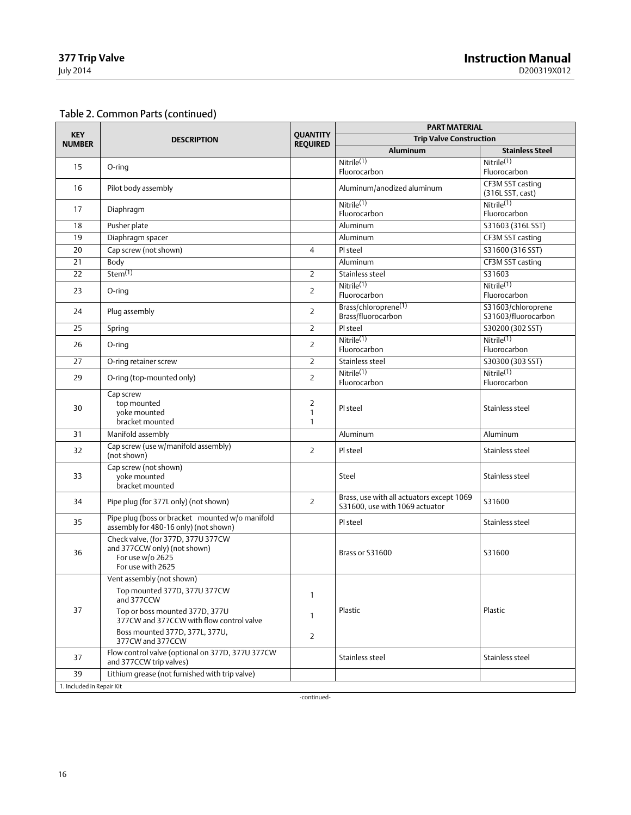### Table [2.](#page-14-0) Common Parts (continued)

| <b>KEY</b><br><b>NUMBER</b> | <b>DESCRIPTION</b>                                                                                          | <b>QUANTITY</b><br><b>REQUIRED</b>             | <b>PART MATERIAL</b>                                                        |                                           |  |
|-----------------------------|-------------------------------------------------------------------------------------------------------------|------------------------------------------------|-----------------------------------------------------------------------------|-------------------------------------------|--|
|                             |                                                                                                             |                                                | <b>Trip Valve Construction</b>                                              |                                           |  |
|                             |                                                                                                             |                                                | Aluminum                                                                    | <b>Stainless Steel</b>                    |  |
| 15                          | O-ring                                                                                                      |                                                | Nitrile <sup>(1)</sup><br>Fluorocarbon                                      | Nitrile <sup>(1)</sup><br>Fluorocarbon    |  |
| 16                          | Pilot body assembly                                                                                         |                                                | Aluminum/anodized aluminum                                                  | CF3M SST casting<br>(316L SST, cast)      |  |
| 17                          | Diaphragm                                                                                                   |                                                | Nitrile <sup>(1)</sup><br>Fluorocarbon                                      | Nitrile <sup>(1)</sup><br>Fluorocarbon    |  |
| 18                          | Pusher plate                                                                                                |                                                | Aluminum                                                                    | S31603 (316L SST)                         |  |
| 19                          | Diaphragm spacer                                                                                            |                                                | Aluminum                                                                    | CF3M SST casting                          |  |
| 20                          | Cap screw (not shown)                                                                                       | $\overline{4}$                                 | Pl steel                                                                    | S31600 (316 SST)                          |  |
| 21                          | Body                                                                                                        |                                                | Aluminum                                                                    | CF3M SST casting                          |  |
| 22                          | Stem(1)                                                                                                     | $\overline{2}$                                 | Stainless steel                                                             | S31603                                    |  |
| 23                          | O-ring                                                                                                      | $\overline{2}$                                 | Nitrile <sup>(1)</sup><br>Fluorocarbon                                      | Nitrile <sup>(1)</sup><br>Fluorocarbon    |  |
| 24                          | Plug assembly                                                                                               | $\overline{2}$                                 | Brass/chloroprene(1)<br>Brass/fluorocarbon                                  | S31603/chloroprene<br>S31603/fluorocarbon |  |
| 25                          | Spring                                                                                                      | $\overline{2}$                                 | Pl steel                                                                    | S30200 (302 SST)                          |  |
| 26                          | O-ring                                                                                                      | $\overline{2}$                                 | Nitrile <sup>(1)</sup><br>Fluorocarbon                                      | Nitrile <sup>(1)</sup><br>Fluorocarbon    |  |
| 27                          | O-ring retainer screw                                                                                       | $\overline{2}$                                 | Stainless steel                                                             | S30300 (303 SST)                          |  |
| 29                          | O-ring (top-mounted only)                                                                                   | $\overline{2}$                                 | Nitrile <sup>(1)</sup><br>Fluorocarbon                                      | Nitrile <sup>(1)</sup><br>Fluorocarbon    |  |
| 30                          | Cap screw<br>top mounted<br>voke mounted<br>bracket mounted                                                 | $\overline{2}$<br>$\mathbf{1}$<br>$\mathbf{1}$ | Pl steel                                                                    | Stainless steel                           |  |
| 31                          | Manifold assembly                                                                                           |                                                | Aluminum                                                                    | Aluminum                                  |  |
| 32                          | Cap screw (use w/manifold assembly)<br>(not shown)                                                          | $\overline{2}$                                 | Pl steel                                                                    | Stainless steel                           |  |
| 33                          | Cap screw (not shown)<br>voke mounted<br>bracket mounted                                                    |                                                | Steel                                                                       | Stainless steel                           |  |
| 34                          | Pipe plug (for 377L only) (not shown)                                                                       | $\overline{2}$                                 | Brass, use with all actuators except 1069<br>S31600, use with 1069 actuator | S31600                                    |  |
| 35                          | Pipe plug (boss or bracket mounted w/o manifold<br>assembly for 480-16 only) (not shown)                    |                                                | Pl steel                                                                    | Stainless steel                           |  |
| 36                          | Check valve, (for 377D, 377U 377CW<br>and 377CCW only) (not shown)<br>For use w/o 2625<br>For use with 2625 |                                                | Brass or S31600                                                             | S31600                                    |  |
|                             | Vent assembly (not shown)                                                                                   |                                                |                                                                             |                                           |  |
|                             | Top mounted 377D, 377U 377CW<br>and 377CCW                                                                  | 1                                              |                                                                             |                                           |  |
| 37                          | Top or boss mounted 377D, 377U<br>377CW and 377CCW with flow control valve                                  | 1                                              | Plastic                                                                     | Plastic                                   |  |
|                             | Boss mounted 377D, 377L, 377U,<br>377CW and 377CCW                                                          | 2                                              |                                                                             |                                           |  |
| 37                          | Flow control valve (optional on 377D, 377U 377CW<br>and 377CCW trip valves)                                 |                                                | Stainless steel                                                             | Stainless steel                           |  |
| 39                          | Lithium grease (not furnished with trip valve)                                                              |                                                |                                                                             |                                           |  |
| 1. Included in Repair Kit   |                                                                                                             |                                                |                                                                             |                                           |  |

-continued-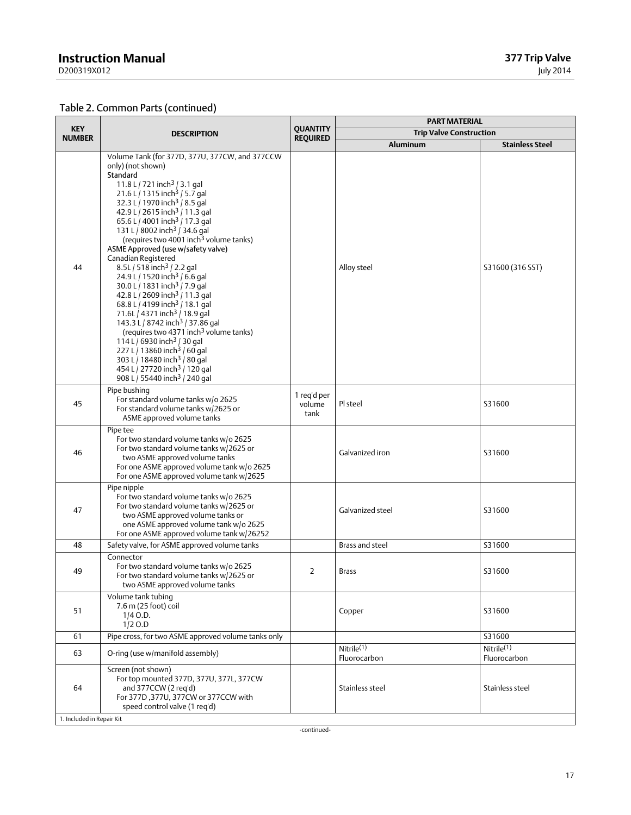### **Instruction Manual**

D200319X012

### Table [2.](#page-14-0) Common Parts (continued)

| <b>KEY</b><br><b>NUMBER</b> | <b>DESCRIPTION</b>                                                                                                                                                                                                                                                                                                                                                                                                                                                                                                                                                                                                                                                                                                                                                                                                                                                                                                                                                                                                                                                                                | <b>OUANTITY</b><br><b>REQUIRED</b> | <b>PART MATERIAL</b>                   |                            |  |
|-----------------------------|---------------------------------------------------------------------------------------------------------------------------------------------------------------------------------------------------------------------------------------------------------------------------------------------------------------------------------------------------------------------------------------------------------------------------------------------------------------------------------------------------------------------------------------------------------------------------------------------------------------------------------------------------------------------------------------------------------------------------------------------------------------------------------------------------------------------------------------------------------------------------------------------------------------------------------------------------------------------------------------------------------------------------------------------------------------------------------------------------|------------------------------------|----------------------------------------|----------------------------|--|
|                             |                                                                                                                                                                                                                                                                                                                                                                                                                                                                                                                                                                                                                                                                                                                                                                                                                                                                                                                                                                                                                                                                                                   |                                    | <b>Trip Valve Construction</b>         |                            |  |
|                             |                                                                                                                                                                                                                                                                                                                                                                                                                                                                                                                                                                                                                                                                                                                                                                                                                                                                                                                                                                                                                                                                                                   |                                    | <b>Aluminum</b>                        | <b>Stainless Steel</b>     |  |
| 44                          | Volume Tank (for 377D, 377U, 377CW, and 377CCW<br>only) (not shown)<br>Standard<br>11.8 L / 721 inch <sup>3</sup> / 3.1 gal<br>21.6 L / 1315 inch <sup>3</sup> / 5.7 gal<br>32.3 L / 1970 inch <sup>3</sup> / 8.5 gal<br>42.9 L / 2615 inch <sup>3</sup> / 11.3 gal<br>65.6 L / 4001 inch <sup>3</sup> / 17.3 gal<br>131 L / 8002 inch <sup>3</sup> / 34.6 gal<br>(requires two 4001 inch <sup>3</sup> volume tanks)<br>ASME Approved (use w/safety valve)<br>Canadian Registered<br>8.5L / 518 inch <sup>3</sup> / 2.2 gal<br>24.9 L / 1520 inch <sup>3</sup> / 6.6 gal<br>30.0 L / 1831 inch <sup>3</sup> / 7.9 gal<br>42.8 L / 2609 inch <sup>3</sup> / 11.3 gal<br>68.8 L / 4199 inch <sup>3</sup> / 18.1 gal<br>71.6L / 4371 inch <sup>3</sup> / 18.9 gal<br>143.3 L / 8742 inch <sup>3</sup> / 37.86 gal<br>(requires two 4371 inch <sup>3</sup> volume tanks)<br>$114 L/6930$ inch <sup>3</sup> / 30 gal<br>227 L / 13860 inch <sup>3</sup> / 60 gal<br>303 L / 18480 inch <sup>3</sup> / 80 gal<br>454 L / 27720 inch <sup>3</sup> / 120 gal<br>908 L / 55440 inch <sup>3</sup> / 240 gal |                                    | Alloy steel                            | S31600 (316 SST)           |  |
| 45                          | Pipe bushing<br>For standard volume tanks w/o 2625<br>For standard volume tanks w/2625 or<br>ASME approved volume tanks                                                                                                                                                                                                                                                                                                                                                                                                                                                                                                                                                                                                                                                                                                                                                                                                                                                                                                                                                                           | 1 reg'd per<br>volume<br>tank      | Pl steel                               | S31600                     |  |
| 46                          | Pipe tee<br>For two standard volume tanks w/o 2625<br>For two standard volume tanks w/2625 or<br>two ASME approved volume tanks<br>For one ASME approved volume tank w/o 2625<br>For one ASME approved volume tank w/2625                                                                                                                                                                                                                                                                                                                                                                                                                                                                                                                                                                                                                                                                                                                                                                                                                                                                         |                                    | Galvanized iron                        | S31600                     |  |
| 47                          | Pipe nipple<br>For two standard volume tanks w/o 2625<br>For two standard volume tanks w/2625 or<br>two ASME approved volume tanks or<br>one ASME approved volume tank w/o 2625<br>For one ASME approved volume tank w/26252                                                                                                                                                                                                                                                                                                                                                                                                                                                                                                                                                                                                                                                                                                                                                                                                                                                                      |                                    | Galvanized steel                       | S31600                     |  |
| 48                          | Safety valve, for ASME approved volume tanks                                                                                                                                                                                                                                                                                                                                                                                                                                                                                                                                                                                                                                                                                                                                                                                                                                                                                                                                                                                                                                                      |                                    | Brass and steel                        | S31600                     |  |
| 49                          | Connector<br>For two standard volume tanks w/o 2625<br>For two standard volume tanks w/2625 or<br>two ASME approved volume tanks                                                                                                                                                                                                                                                                                                                                                                                                                                                                                                                                                                                                                                                                                                                                                                                                                                                                                                                                                                  | 2                                  | <b>Brass</b>                           | S31600                     |  |
| 51                          | Volume tank tubing<br>7.6 m (25 foot) coil<br>$1/4$ O.D.<br>$1/2$ O.D                                                                                                                                                                                                                                                                                                                                                                                                                                                                                                                                                                                                                                                                                                                                                                                                                                                                                                                                                                                                                             |                                    | Copper                                 | S31600                     |  |
| 61                          | Pipe cross, for two ASME approved volume tanks only                                                                                                                                                                                                                                                                                                                                                                                                                                                                                                                                                                                                                                                                                                                                                                                                                                                                                                                                                                                                                                               |                                    |                                        | S31600                     |  |
| 63                          | O-ring (use w/manifold assembly)                                                                                                                                                                                                                                                                                                                                                                                                                                                                                                                                                                                                                                                                                                                                                                                                                                                                                                                                                                                                                                                                  |                                    | Nitrile <sup>(1)</sup><br>Fluorocarbon | Nitrile(1)<br>Fluorocarbon |  |
| 64                          | Screen (not shown)<br>For top mounted 377D, 377U, 377L, 377CW<br>and 377CCW (2 req'd)<br>For 377D, 377U, 377CW or 377CCW with<br>speed control valve (1 req'd)                                                                                                                                                                                                                                                                                                                                                                                                                                                                                                                                                                                                                                                                                                                                                                                                                                                                                                                                    |                                    | Stainless steel                        | Stainless steel            |  |
| 1. Included in Repair Kit   |                                                                                                                                                                                                                                                                                                                                                                                                                                                                                                                                                                                                                                                                                                                                                                                                                                                                                                                                                                                                                                                                                                   |                                    |                                        |                            |  |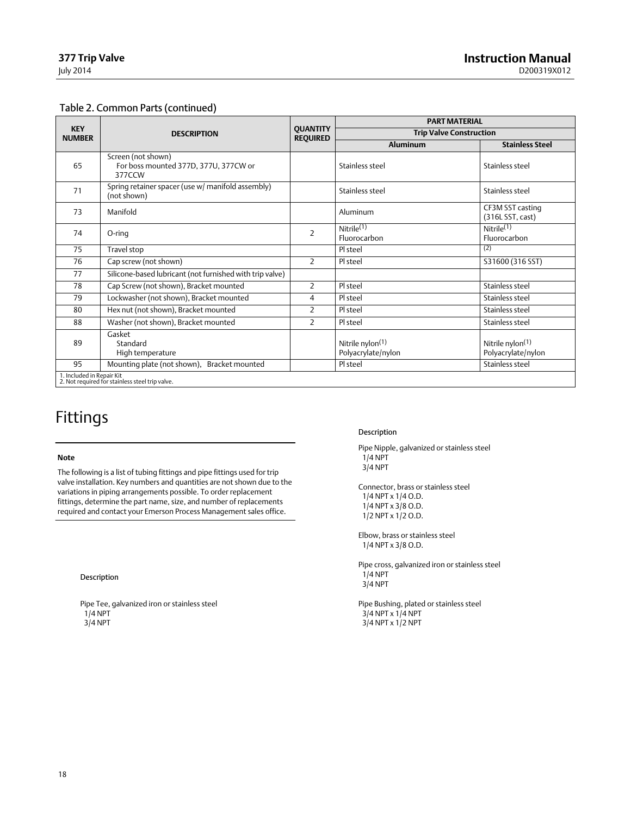#### Table [2.](#page-14-0) Common Parts (continued)

|                             | <b>DESCRIPTION</b>                                                           | <b>OUANTITY</b><br><b>REQUIRED</b> | <b>PART MATERIAL</b>                               |                                             |
|-----------------------------|------------------------------------------------------------------------------|------------------------------------|----------------------------------------------------|---------------------------------------------|
| <b>KEY</b><br><b>NUMBER</b> |                                                                              |                                    | <b>Trip Valve Construction</b>                     |                                             |
|                             |                                                                              |                                    | Aluminum                                           | <b>Stainless Steel</b>                      |
| 65                          | Screen (not shown)<br>For boss mounted 377D, 377U, 377CW or<br>377CCW        |                                    | Stainless steel                                    | Stainless steel                             |
| 71                          | Spring retainer spacer (use w/ manifold assembly)<br>(not shown)             |                                    | Stainless steel                                    | Stainless steel                             |
| 73                          | Manifold                                                                     |                                    | Aluminum                                           | CF3M SST casting<br>(316L SST, cast)        |
| 74                          | O-ring                                                                       | $\overline{2}$                     | Nitrile <sup>(1)</sup><br>Fluorocarbon             | Nitrile $\overline{^{(1)}}$<br>Fluorocarbon |
| 75                          | Travel stop                                                                  |                                    | Pl steel                                           | (2)                                         |
| 76                          | Cap screw (not shown)                                                        | $\overline{2}$                     | Pl steel                                           | S31600 (316 SST)                            |
| 77                          | Silicone-based lubricant (not furnished with trip valve)                     |                                    |                                                    |                                             |
| 78                          | Cap Screw (not shown), Bracket mounted                                       | $\overline{2}$                     | Pl steel                                           | Stainless steel                             |
| 79                          | Lockwasher (not shown), Bracket mounted                                      | 4                                  | Pl steel                                           | Stainless steel                             |
| 80                          | Hex nut (not shown), Bracket mounted                                         | $\overline{2}$                     | Pl steel                                           | Stainless steel                             |
| 88                          | Washer (not shown), Bracket mounted                                          | $\overline{2}$                     | Pl steel                                           | Stainless steel                             |
| 89                          | Gasket<br>Standard<br>High temperature                                       |                                    | Nitrile nylon <sup>(1)</sup><br>Polyacrylate/nylon | Nitrile nylon $(1)$<br>Polyacrylate/nylon   |
| 95                          | Mounting plate (not shown), Bracket mounted                                  |                                    | Pl steel                                           | Stainless steel                             |
|                             | 1. Included in Repair Kit<br>2. Not required for stainless steel trip valve. |                                    |                                                    |                                             |

### Fittings

#### **Note**

The following is a list of tubing fittings and pipe fittings used for trip valve installation. Key numbers and quantities are not shown due to the variations in piping arrangements possible. To order replacement fittings, determine the part name, size, and number of replacements required and contact your Emerson Process Management sales office.

#### Description

Pipe Tee, galvanized iron or stainless steel 1/4 NPT  $3/4$  NPT

#### Description

Pipe Nipple, galvanized or stainless steel  $1/4$  NPT 3/4 NPT

Connector, brass or stainless steel 1/4 NPT x 1/4 O.D. 1/4 NPT x 3/8 O.D. 1/2 NPT x 1/2 O.D.

Elbow, brass or stainless steel 1/4 NPT x 3/8 O.D.

Pipe cross, galvanized iron or stainless steel  $1/4$  NPT 3/4 NPT

Pipe Bushing, plated or stainless steel 3/4 NPT x 1/4 NPT  $3/4$  NPT x  $1/2$  NPT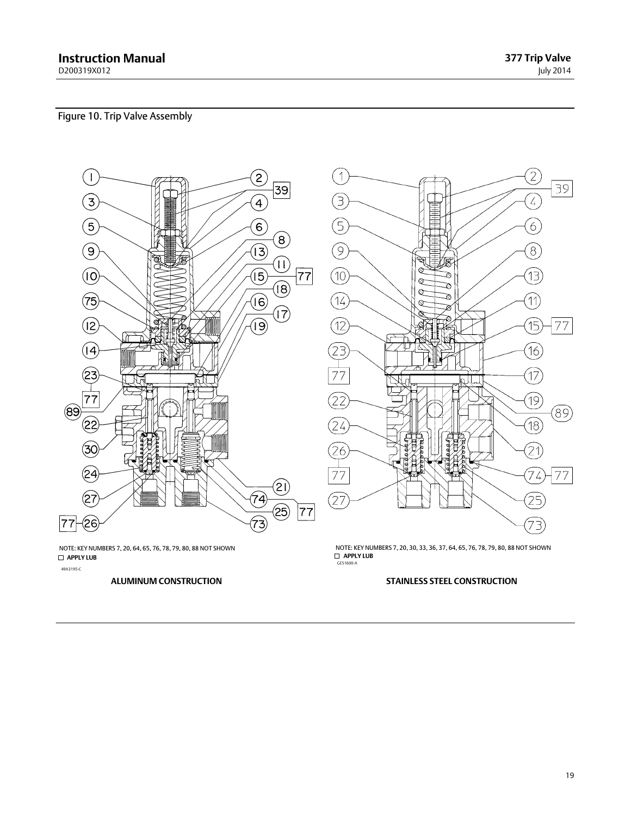**377 Trip Valve** July 2014

### <span id="page-18-0"></span>Figure 10. Trip Valve Assembly



 **APPLY LUB** 49A3195-C NOTE: KEY NUMBERS 7, 20, 64, 65, 76, 78, 79, 80, 88 NOT SHOWN

 **APPLY LUB** GE51600-A NOTE: KEY NUMBERS 7, 20, 30, 33, 36, 37, 64, 65, 76, 78, 79, 80, 88 NOT SHOWN

#### **ALUMINUM CONSTRUCTION STAINLESS STEEL CONSTRUCTION**